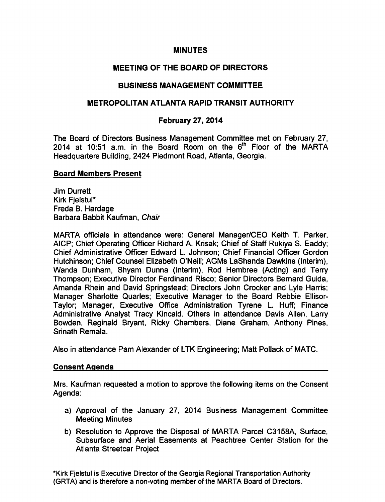### MINUTES

# MEETING OF THE BOARD OF DIRECTORS

## BUSINESS MANAGEMENT COMMITTEE

## METROPOLITAN ATLANTA RAPID TRANSIT AUTHORITY

### February 27, 2014

The Board of Directors Business Management Committee met on February 27, 2014 at 10:51 a.m. in the Board Room on the  $6<sup>th</sup>$  Floor of the MARTA Headquarters Building, 2424 Piedmont Road, Atlanta, Georgia.

#### Board Members Present

Jim Durrett Kirk Fjelstul\* Freda B. Hardage Barbara Babbit Kaufman, Chair

MARTA officials in attendance were: General Manager/CEO Keith T. Parker, AICP; Chief Operating Officer Richard A. Krisak; Chief of Staff Rukiya S. Eaddy; Chief Administrative Officer Edward L. Johnson; Chief Financial Officer Gordon Hutchinson; Chief Counsel Elizabeth O'Neill; AGMs LaShanda Dawkins (Interim), Wanda Dunham, Shyam Dunna (Interim), Rod Hembree (Acting) and Terry Thompson; Executive Director Ferdinand Risco; Senior Directors Bernard Guida, Amanda Rhein and David Springstead; Directors John Crocker and Lyle Harris; Manager Sharlotte Quarles; Executive Manager to the Board Rebbie Ellisor-Taylor; Manager, Executive Office Administration Tyrene L. Huff; Finance Administrative Analyst Tracy Kincaid. Others in attendance Davis Allen, Larry Bowden, Reginald Bryant, Ricky Chambers, Diane Graham, Anthony Pines, Srinath Remala.

Also in attendance Pam Alexander of LTK Engineering; Matt Pollack of MATC.

#### Consent Agenda

Mrs. Kaufman requested a motion to approve the following items on the Consent Agenda:

- a) Approval of the January 27, 2014 Business Management Committee Meeting Minutes
- b) Resolution to Approve the Disposal of MARTA Parcel C3158A, Surface, Subsurface and Aerial Easements at Peachtree Center Station for the Atlanta Streetcar Project

\*Kirk Fjelstul is Executive Director of the Georgia Regional Transportation Authority (GRTA) and is therefore a non-voting member of the MARTA Board of Directors.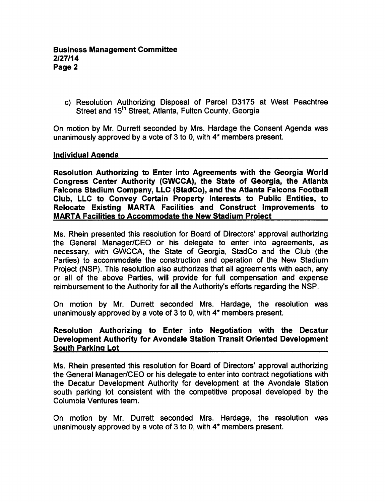c) Resolution Authorizing Disposal of Parcel D3175 at West Peachtree Street and 15<sup>th</sup> Street, Atlanta, Fulton County, Georgia

On motion by Mr. Durrett seconded by Mrs. Hardage the Consent Agenda was unanimously approved by a vote of  $3$  to 0, with  $4^*$  members present.

### Individual Agenda

Resolution Authorizing to Enter into Agreements with the Georgia World Congress Center Authority (GWCCA), the State of Georgia, the Atlanta Falcons Stadium Company, LLC (StadCo), and the Atlanta Falcons Football Club, LLC to Convey Certain Property Interests to Public Entities, to Relocate Existing MARTA Facilities and Construct Improvements to MARTA Facilities to Accommodate the New Stadium Project

Ms. Rhein presented this resolution for Board of Directors' approval authorizing the General Manager/CEO or his delegate to enter into agreements, as necessary, with GWCCA, the State of Georgia, StadCo and the Club (the Parties) to accommodate the construction and operation of the New Stadium Project (NSP). This resolution also authorizes that all agreements with each, any or all of the above Parties, will provide for full compensation and expense reimbursement to the Authority for all the Authority's efforts regarding the NSP.

On motion by Mr. Durrett seconded Mrs. Hardage, the resolution was unanimously approved by a vote of  $3$  to 0, with  $4^*$  members present.

### Resolution Authorizing to Enter into Negotiation with the Decatur Development Authority for Avondale Station Transit Oriented Development South Parking Lot

Ms. Rhein presented this resolution for Board of Directors' approval authorizing the General Manager/CEO or his delegate to enter into contract negotiations with the Decatur Development Authority for development at the Avondale Station south parking lot consistent with the competitive proposal developed by the Columbia Ventures team.

On motion by Mr. Durrett seconded Mrs. Hardage, the resolution was unanimously approved by a vote of  $3$  to 0, with  $4^*$  members present.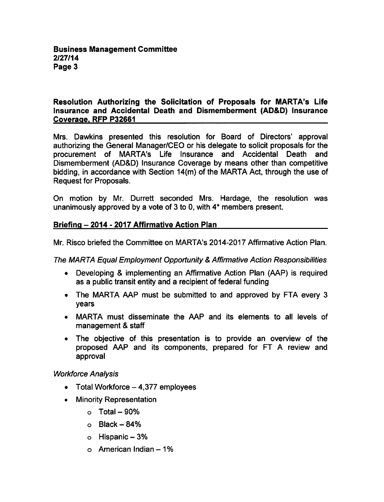### Resolution Authorizing the Solicitation of Proposals for MARTA's Life Insurance and Accidental Death and Dismemberment (AD&D) Insurance Coverage. RFP P32661

Mrs. Dawkins presented this resolution for Board of Directors' approval authorizing the General Manager/CEO or his delegate to solicit proposals for the procurement of MARTA's Life Insurance and Accidental Death and Dismemberment (AD&D) Insurance Coverage by means other than competitive bidding, in accordance with Section 14(m) of the MARTA Act, through the use of Request for Proposals.

On motion by Mr. Durrett seconded Mrs. Hardage, the resolution was unanimously approved by a vote of  $3$  to 0, with  $4*$  members present.

# Briefing 2014 2017 Affirmative Action Plan

Mr. Risco briefed the Committee on MARTA's 2014-2017 Affirmative Action Plan.

The MARTA Equal Employment Opportunity Affirmative Action Responsibilities

- Developing & implementing an Affirmative Action Plan (AAP) is required as a public transit entity and a recipient of federal funding
- The MARTA AAP must be submitted to and approved by FTA every 3  $\bullet$ years
- MARTA must disseminate the AAP and its elements to all levels of management & staff
- The objective of this presentation is to provide an overview of the proposed AAP and its components, prepared for FT A review and approval

Workforce Analysis

- Total Workforce  $-4,377$  employees
- Minority Representation
	- $\circ$  Total 90%
	- $o$  Black  $-84%$
	- o Hispanic 3%
	- $\circ$  American Indian  $-1\%$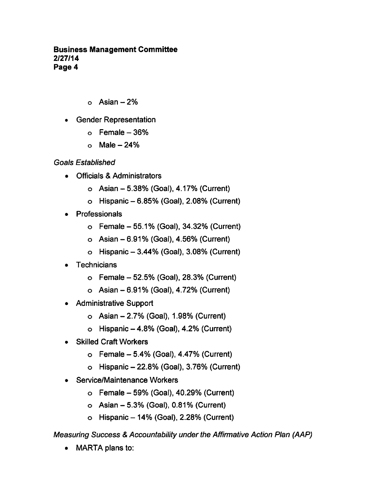### Business Management Committee 2/27/14 Page 4

- $\circ$  Asian  $-2\%$
- Gender Representation
	- $\circ$  Female  $-36\%$
	- $o$  Male  $-24%$

Goals Established

- Officials Administrators
	- $\circ$  Asian  $-5.38\%$  (Goal), 4.17% (Current)
	- $\circ$  Hispanic  $-6.85%$  (Goal), 2.08% (Current)
- Professionals
	- $\circ$  Female 55.1% (Goal), 34.32% (Current)
	- $\circ$  Asian  $-6.91\%$  (Goal), 4.56% (Current)
	- $\circ$  Hispanic  $-3.44\%$  (Goal), 3.08% (Current)
- Technicians
	- $\circ$  Female  $-52.5\%$  (Goal), 28.3% (Current)
	- $\circ$  Asian 6.91% (Goal), 4.72% (Current)
- Administrative Support  $\bullet$ 
	- $\circ$  Asian  $-2.7\%$  (Goal), 1.98% (Current)
	- $\circ$  Hispanic  $-4.8\%$  (Goal), 4.2% (Current)
- Skilled Craft Workers
	- $\circ$  Female  $-5.4\%$  (Goal), 4.47% (Current)
	- $\circ$  Hispanic  $-22.8\%$  (Goal), 3.76% (Current)
- Service/Maintenance Workers
	- $\circ$  Female 59% (Goal), 40.29% (Current)
	- $\circ$  Asian  $-5.3\%$  (Goal), 0.81% (Current)
	- $\circ$  Hispanic  $-14\%$  (Goal), 2.28% (Current)

Measuring Success Accountability under the Affirmative Action Plan (AAP)

MARTA plans to: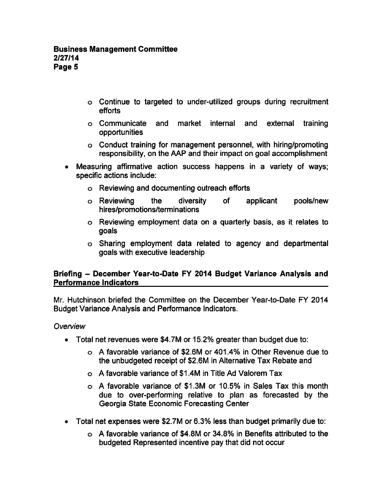- Continue to targeted to under-utilized groups during recruitment efforts
- Communicate and market internal and external training opportunities
- Conduct training for management personnel, with hiring/promoting responsibility, on the AAP and their impact on goal accomplishment
- Measuring affirmative action success happens in a variety of ways; specific actions include:
	- Reviewing and documenting outreach efforts
	- Reviewing the diversity of applicant pools/new hires/promotions/terminations
	- Reviewing employment data on quarterly basis, as it relates to goals
	- Sharing employment data related to agency and departmental goals with executive leadership

# Briefing - December Year-to-Date FY 2014 Budget Variance Analysis and Performance Indicators

Mr. Hutchinson briefed the Committee on the December Year-to-Date FY 2014 Budget Variance Analysis and Performance Indicators.

## **Overview**

- Total net revenues were \$4.7M or 15.2% greater than budget due to:
	- favorable variance of \$2.6M or 401.4% in Other Revenue due to the unbudgeted receipt of \$2.6M in Alternative Tax Rebate and
	- $\circ$  A favorable variance of \$1.4M in Title Ad Valorem Tax
	- o A favorable variance of \$1.3M or 10.5% in Sales Tax this month due to over-performing relative to plan as forecasted by the Georgia State Economic Forecasting Center
- Total net expenses were \$2.7M or 6.3% less than budget primarily due to:
	- favorable variance of \$4.8M or 34.8% in Benefits attributed to the budgeted Represented incentive pay that did not occur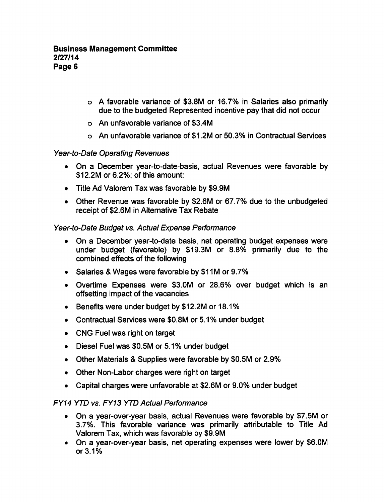- favorable variance of \$3.8M or 16.7% in Salaries also primarily due to the budgeted Represented incentive pay that did not occur
- An unfavorable variance of \$3.4M
- An unfavorable variance of \$1.2M or 50.3% in Contractual Services

## Year-to-Date Operating Revenues

- On a December year-to-date-basis, actual Revenues were favorable by \$12.2M or 6.2%; of this amount:
- Title Ad Valorem Tax was favorable by \$9.9M
- Other Revenue was favorable by \$2.6M or 67.7% due to the unbudgeted receipt of \$2.6M in Alternative Tax Rebate

# Year-to-Date Budget vs. Actual Expense Performance

- On a December year-to-date basis, net operating budget expenses were under budget (favorable) by \$19.3M or 8.8% primarily due to the combined effects of the following
- Salaries & Wages were favorable by \$11M or 9.7%
- Overtime Expenses were \$3.0M or 28.6% over budget which is an offsetting impact of the vacancies
- Benefits were under budget by \$12.2M or 18.1%
- Contractual Services were \$0.8M or 5.1% under budget
- CNG Fuel was right on target
- Diesel Fuel was \$0.5M or 5.1% under budget
- Other Materials & Supplies were favorable by \$0.5M or 2.9%
- Other Non-Labor charges were right on target
- Capital charges were unfavorable at \$2.6M or 9.0% under budget

## FY14 YTD vs. FY13 YTD Actual Performance

- On a year-over-year basis, actual Revenues were favorable by \$7.5M or 3.7%. This favorable variance was primarily attributable to Title Ad Valorem Tax, which was favorable by \$9.9M
- On a year-over-year basis, net operating expenses were lower by \$6.0M or 3.1%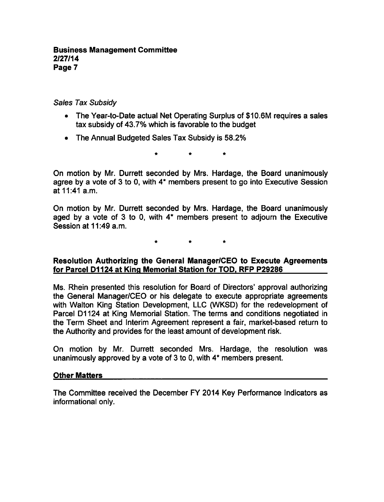### Business Management Committee 2/27/14 Page 7

### Sales Tax Subsidy

- The Year-to-Date actual Net Operating Surplus of \$10.6M requires a sales tax subsidy of 43.7% which is favorable to the budget
- The Annual Budgeted Sales Tax Subsidy is 58.2%

On motion by Mr. Durrett seconded by Mrs. Hardage, the Board unanimously agree by a vote of 3 to 0, with  $4*$  members present to go into Executive Session at 11:41 a.m.

On motion by Mr. Durrett seconded by Mrs. Hardage, the Board unanimously aged by a vote of 3 to 0, with  $4*$  members present to adjourn the Executive Session at 11:49 a.m.

### Resolution Authorizing the General Manager/CEO to Execute Agreements for Parcel D1124 at King Memorial Station for TOD. RFP P29286

Ms. Rhein presented this resolution for Board of Directors' approval authorizing the General Manager/CEO or his delegate to execute appropriate agreements with Walton King Station Development, LLC (WKSD) for the redevelopment of Parcel D1124 at King Memorial Station. The terms and conditions negotiated in the Term Sheet and Interim Agreement represent a fair, market-based return to the Authority and provides for the least amount of development risk.

On motion by Mr. Durrett seconded Mrs. Hardage, the resolution was unanimously approved by a vote of  $3$  to 0, with  $4^*$  members present.

#### Other Matters

The Committee received the December FY 2014 Key Performance Indicators as informational only.